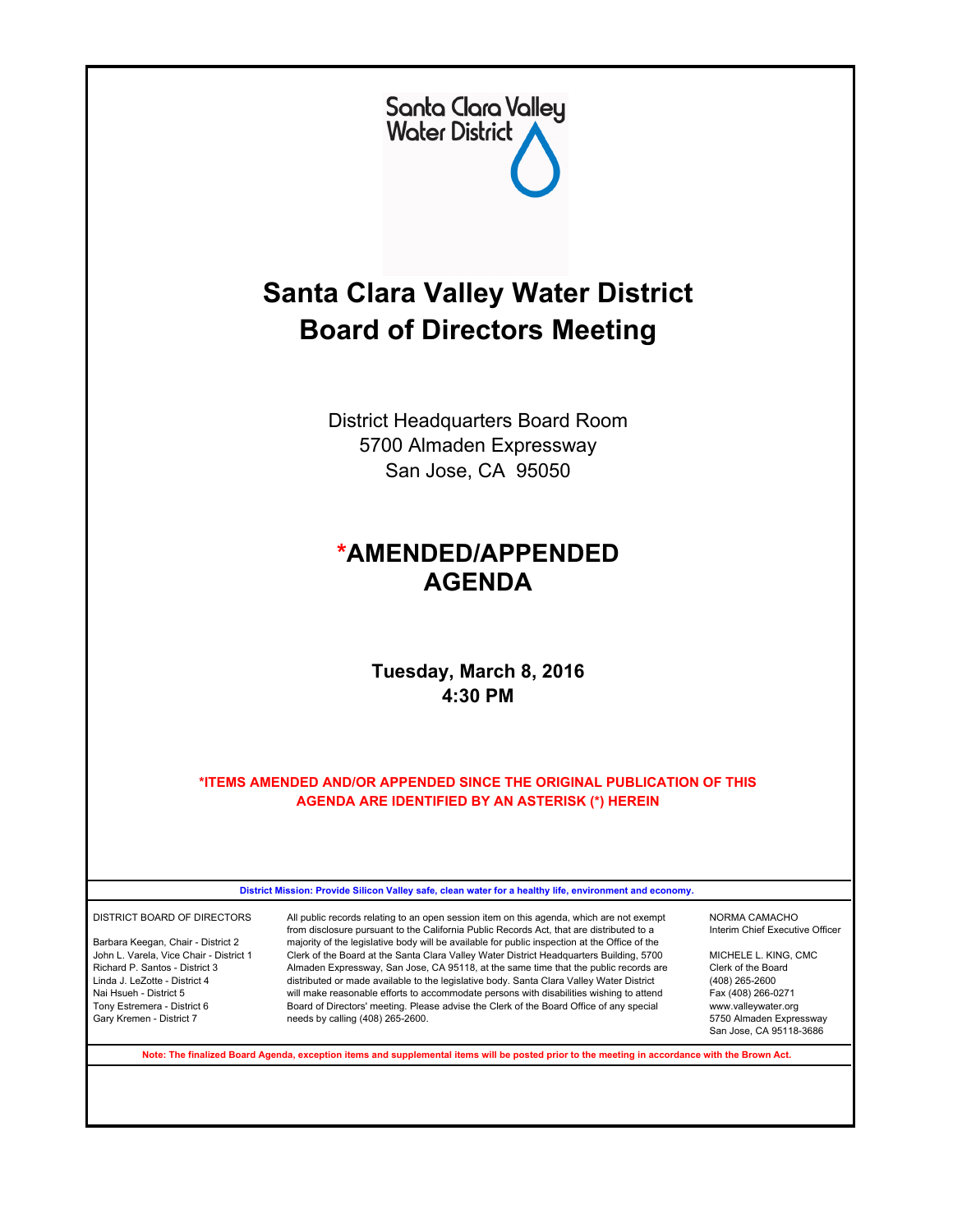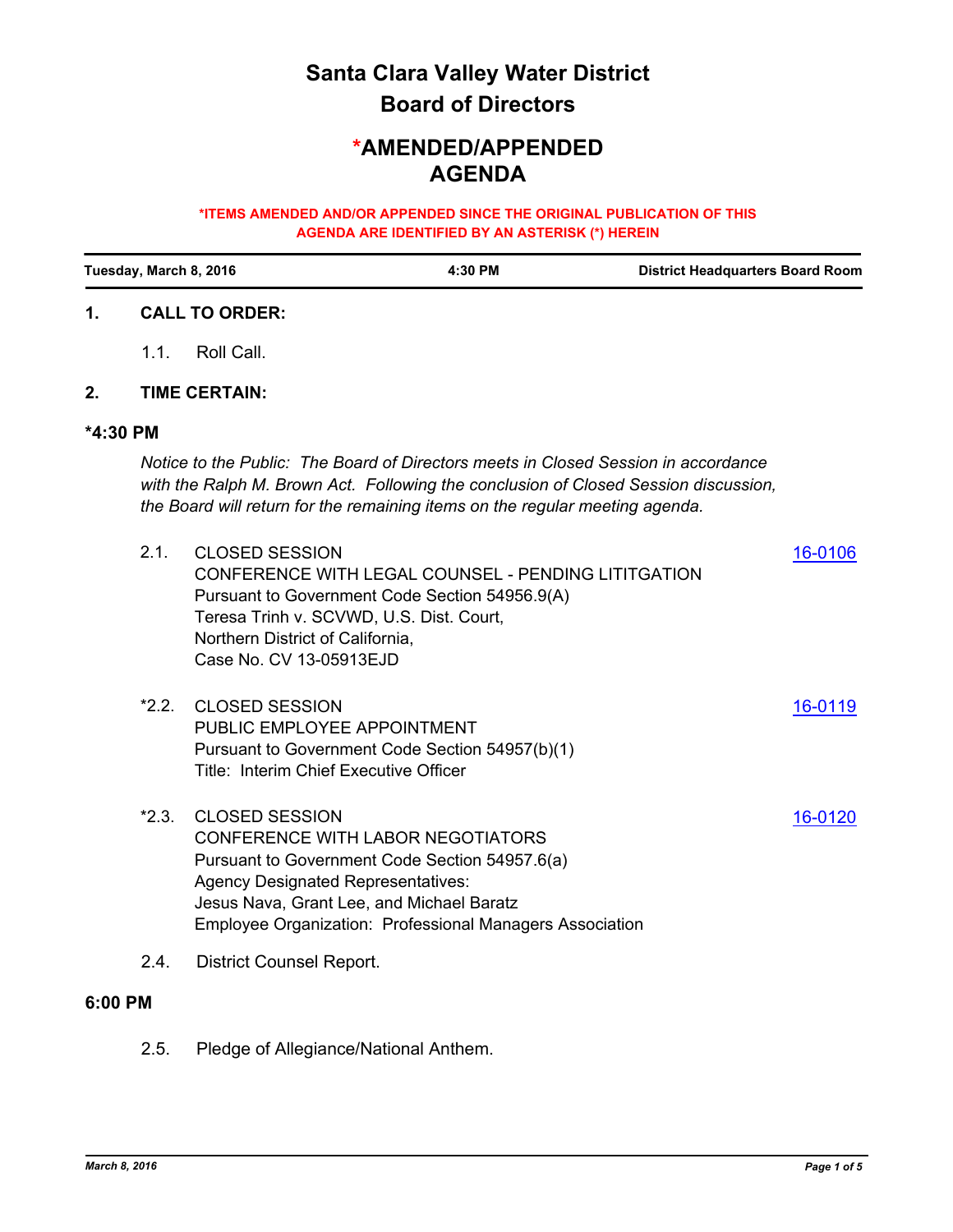# **Board of Directors Santa Clara Valley Water District**

## **AGENDA \*AMENDED/APPENDED**

#### **\*ITEMS AMENDED AND/OR APPENDED SINCE THE ORIGINAL PUBLICATION OF THIS AGENDA ARE IDENTIFIED BY AN ASTERISK (\*) HEREIN**

| Tuesday, March 8, 2016 |                                                                                                                                                                                                                                                           |                                                                                                                                  | 4:30 PM                                                                                                                                                                                             |         | <b>District Headquarters Board Room</b> |  |  |  |  |
|------------------------|-----------------------------------------------------------------------------------------------------------------------------------------------------------------------------------------------------------------------------------------------------------|----------------------------------------------------------------------------------------------------------------------------------|-----------------------------------------------------------------------------------------------------------------------------------------------------------------------------------------------------|---------|-----------------------------------------|--|--|--|--|
| 1.                     |                                                                                                                                                                                                                                                           | <b>CALL TO ORDER:</b>                                                                                                            |                                                                                                                                                                                                     |         |                                         |  |  |  |  |
|                        | 1.1.                                                                                                                                                                                                                                                      | Roll Call.                                                                                                                       |                                                                                                                                                                                                     |         |                                         |  |  |  |  |
| 2.                     |                                                                                                                                                                                                                                                           | <b>TIME CERTAIN:</b>                                                                                                             |                                                                                                                                                                                                     |         |                                         |  |  |  |  |
| *4:30 PM               |                                                                                                                                                                                                                                                           |                                                                                                                                  |                                                                                                                                                                                                     |         |                                         |  |  |  |  |
|                        | Notice to the Public: The Board of Directors meets in Closed Session in accordance<br>with the Ralph M. Brown Act. Following the conclusion of Closed Session discussion,<br>the Board will return for the remaining items on the regular meeting agenda. |                                                                                                                                  |                                                                                                                                                                                                     |         |                                         |  |  |  |  |
|                        | 2.1.                                                                                                                                                                                                                                                      | <b>CLOSED SESSION</b><br>Teresa Trinh v. SCVWD, U.S. Dist. Court,<br>Northern District of California,<br>Case No. CV 13-05913EJD | <b>CONFERENCE WITH LEGAL COUNSEL - PENDING LITITGATION</b><br>Pursuant to Government Code Section 54956.9(A)                                                                                        | 16-0106 |                                         |  |  |  |  |
|                        | $*2.2.$                                                                                                                                                                                                                                                   | <b>CLOSED SESSION</b><br>PUBLIC EMPLOYEE APPOINTMENT<br>Title: Interim Chief Executive Officer                                   | Pursuant to Government Code Section 54957(b)(1)                                                                                                                                                     | 16-0119 |                                         |  |  |  |  |
|                        | $*2.3.$                                                                                                                                                                                                                                                   | <b>CLOSED SESSION</b><br><b>Agency Designated Representatives:</b>                                                               | <b>CONFERENCE WITH LABOR NEGOTIATORS</b><br>Pursuant to Government Code Section 54957.6(a)<br>Jesus Nava, Grant Lee, and Michael Baratz<br>Employee Organization: Professional Managers Association | 16-0120 |                                         |  |  |  |  |
|                        | 2.4.                                                                                                                                                                                                                                                      | <b>District Counsel Report.</b>                                                                                                  |                                                                                                                                                                                                     |         |                                         |  |  |  |  |
| 6:00 PM                |                                                                                                                                                                                                                                                           |                                                                                                                                  |                                                                                                                                                                                                     |         |                                         |  |  |  |  |
|                        | 2.5.                                                                                                                                                                                                                                                      | Pledge of Allegiance/National Anthem.                                                                                            |                                                                                                                                                                                                     |         |                                         |  |  |  |  |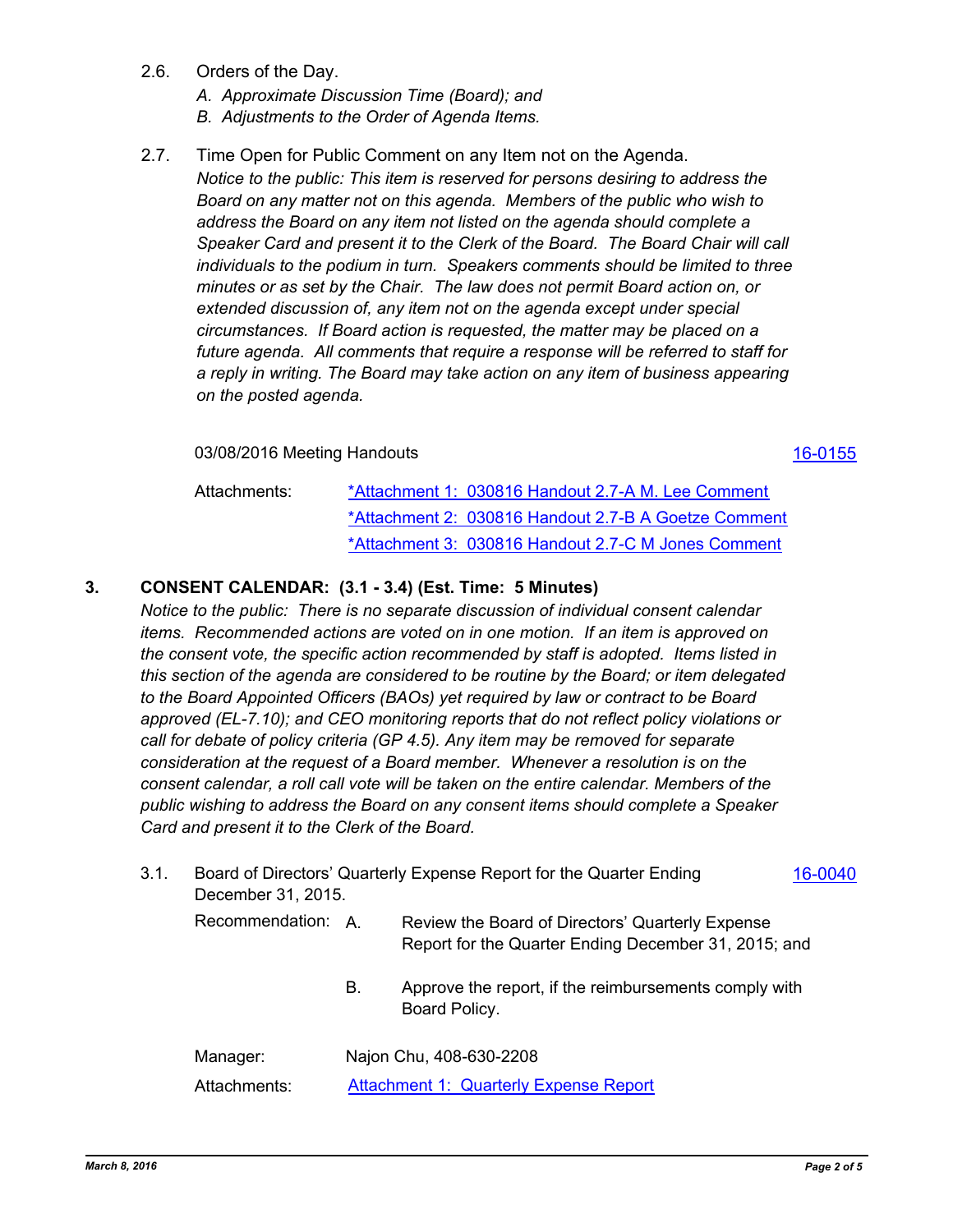- 2.6. Orders of the Day.
	- *A. Approximate Discussion Time (Board); and*
	- *B. Adjustments to the Order of Agenda Items.*
- 2.7. Time Open for Public Comment on any Item not on the Agenda.

*Notice to the public: This item is reserved for persons desiring to address the Board on any matter not on this agenda. Members of the public who wish to address the Board on any item not listed on the agenda should complete a Speaker Card and present it to the Clerk of the Board. The Board Chair will call individuals to the podium in turn. Speakers comments should be limited to three minutes or as set by the Chair. The law does not permit Board action on, or extended discussion of, any item not on the agenda except under special circumstances. If Board action is requested, the matter may be placed on a future agenda. All comments that require a response will be referred to staff for a reply in writing. The Board may take action on any item of business appearing on the posted agenda.*

03/08/2016 Meeting Handouts [16-0155](http://scvwd.legistar.com/gateway.aspx?m=l&id=/matter.aspx?key=1913)

[\\*Attachment 1: 030816 Handout 2.7-A M. Lee Comment](http://scvwd.legistar.com/gateway.aspx?M=F&ID=6cf3cc96-8893-4e23-9c32-f1e36f411969.pdf) [\\*Attachment 2: 030816 Handout 2.7-B A Goetze Comment](http://scvwd.legistar.com/gateway.aspx?M=F&ID=fb2336fa-eb20-452d-a6ac-2ad3702b620b.pdf) [\\*Attachment 3: 030816 Handout 2.7-C M Jones Comment](http://scvwd.legistar.com/gateway.aspx?M=F&ID=14dd6b3f-450b-4ac7-af61-7e223136b486.pdf) Attachments:

#### **3. CONSENT CALENDAR: (3.1 - 3.4) (Est. Time: 5 Minutes)**

*Notice to the public: There is no separate discussion of individual consent calendar items. Recommended actions are voted on in one motion. If an item is approved on the consent vote, the specific action recommended by staff is adopted. Items listed in this section of the agenda are considered to be routine by the Board; or item delegated to the Board Appointed Officers (BAOs) yet required by law or contract to be Board approved (EL-7.10); and CEO monitoring reports that do not reflect policy violations or call for debate of policy criteria (GP 4.5). Any item may be removed for separate consideration at the request of a Board member. Whenever a resolution is on the consent calendar, a roll call vote will be taken on the entire calendar. Members of the public wishing to address the Board on any consent items should complete a Speaker Card and present it to the Clerk of the Board.*

| 3.1. | Board of Directors' Quarterly Expense Report for the Quarter Ending<br>16-0040<br>December 31, 2015. |                         |                                                                                                          |  |  |  |
|------|------------------------------------------------------------------------------------------------------|-------------------------|----------------------------------------------------------------------------------------------------------|--|--|--|
|      | Recommendation: A.                                                                                   |                         | Review the Board of Directors' Quarterly Expense<br>Report for the Quarter Ending December 31, 2015; and |  |  |  |
|      |                                                                                                      | В.                      | Approve the report, if the reimbursements comply with<br>Board Policy.                                   |  |  |  |
|      | Manager:                                                                                             | Najon Chu, 408-630-2208 |                                                                                                          |  |  |  |
|      | Attachments:                                                                                         |                         | <b>Attachment 1: Quarterly Expense Report</b>                                                            |  |  |  |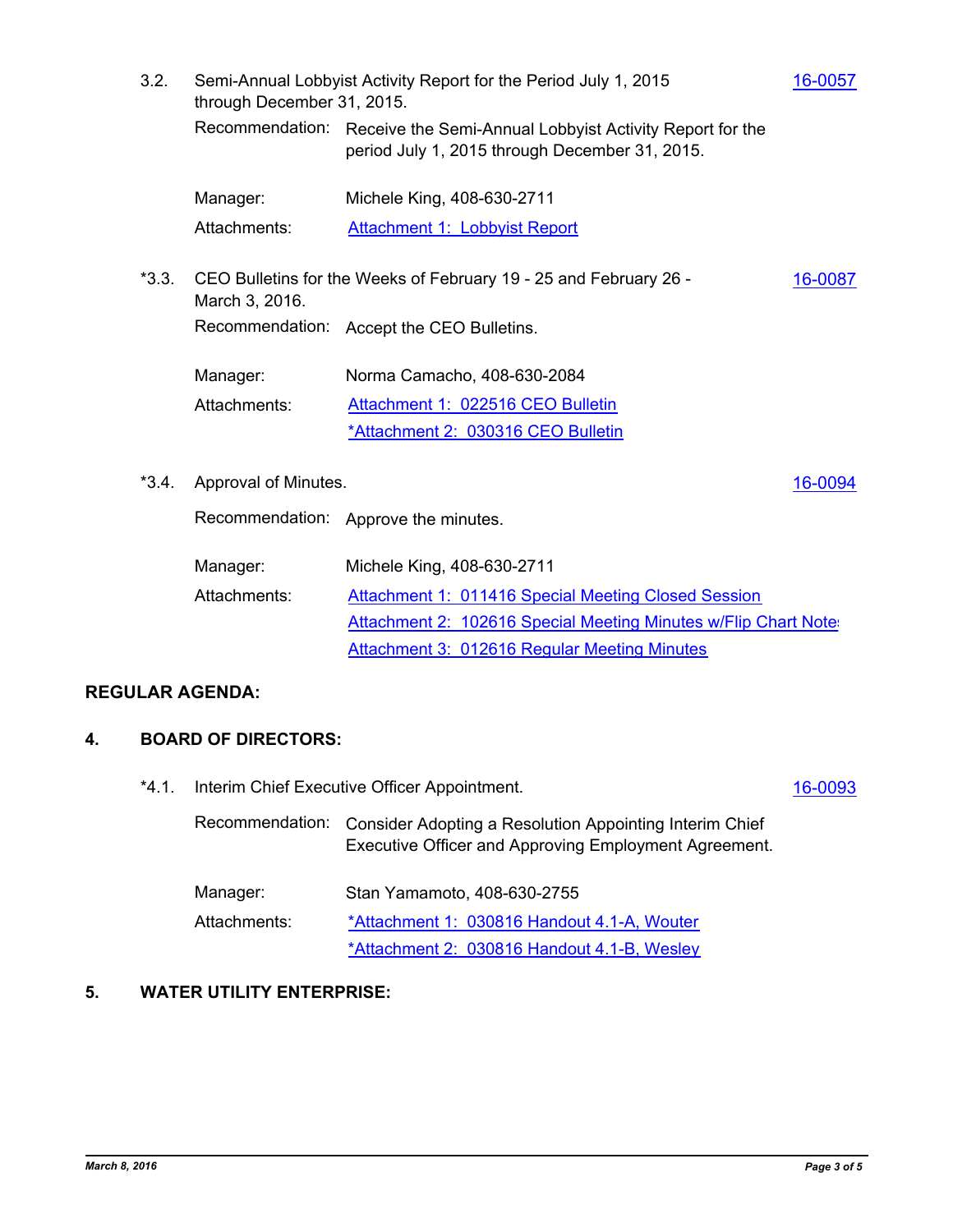3.2. Semi-Annual Lobbyist Activity Report for the Period July 1, 2015 **[16-0057](http://scvwd.legistar.com/gateway.aspx?m=l&id=/matter.aspx?key=1815)** through December 31, 2015. Recommendation: Receive the Semi-Annual Lobbyist Activity Report for the period July 1, 2015 through December 31, 2015. Manager: Michele King, 408-630-2711 Attachments: [Attachment 1: Lobbyist Report](http://scvwd.legistar.com/gateway.aspx?M=F&ID=c301fbc5-e2c3-46c1-ae13-294db1368480.pdf) \*3.3. CEO Bulletins for the Weeks of February 19 - 25 and February 26 - **[16-0087](http://scvwd.legistar.com/gateway.aspx?m=l&id=/matter.aspx?key=1845)** March 3, 2016. Recommendation: Accept the CEO Bulletins. Manager: Norma Camacho, 408-630-2084 [Attachment 1: 022516 CEO Bulletin](http://scvwd.legistar.com/gateway.aspx?M=F&ID=9b951605-13c5-4527-8fff-41b59d11c929.pdf) [\\*Attachment 2: 030316 CEO Bulletin](http://scvwd.legistar.com/gateway.aspx?M=F&ID=77345ee7-1e5a-4584-adab-31642fc61221.pdf) Attachments: \*3.4. Approval of Minutes. [16-0094](http://scvwd.legistar.com/gateway.aspx?m=l&id=/matter.aspx?key=1852) Recommendation: Approve the minutes. Manager: Michele King, 408-630-2711 [Attachment 1: 011416 Special Meeting Closed Session](http://scvwd.legistar.com/gateway.aspx?M=F&ID=9efeb3e9-da80-4701-b4e9-f8984262c103.docx) [Attachment 2: 102616 Special Meeting Minutes w/Flip Chart Notes](http://scvwd.legistar.com/gateway.aspx?M=F&ID=59b8e6c7-3208-49b6-a248-47bd30cba548.pdf) [Attachment 3: 012616 Regular Meeting Minutes](http://scvwd.legistar.com/gateway.aspx?M=F&ID=681ae791-dcd3-4516-8986-403adabdac3e.pdf) Attachments:

### **REGULAR AGENDA:**

#### **4. BOARD OF DIRECTORS:**

\*4.1. Interim Chief Executive Officer Appointment. [16-0093](http://scvwd.legistar.com/gateway.aspx?m=l&id=/matter.aspx?key=1851) Recommendation: Consider Adopting a Resolution Appointing Interim Chief Executive Officer and Approving Employment Agreement. Manager: Stan Yamamoto, 408-630-2755 [\\*Attachment 1: 030816 Handout 4.1-A, Wouter](http://scvwd.legistar.com/gateway.aspx?M=F&ID=b55188e4-5a83-4beb-855c-d71d4aa821d1.pdf) [\\*Attachment 2: 030816 Handout 4.1-B, Wesley](http://scvwd.legistar.com/gateway.aspx?M=F&ID=1fcefb85-d16f-40d5-8066-5596d3ff8ab1.pdf) Attachments:

#### **5. WATER UTILITY ENTERPRISE:**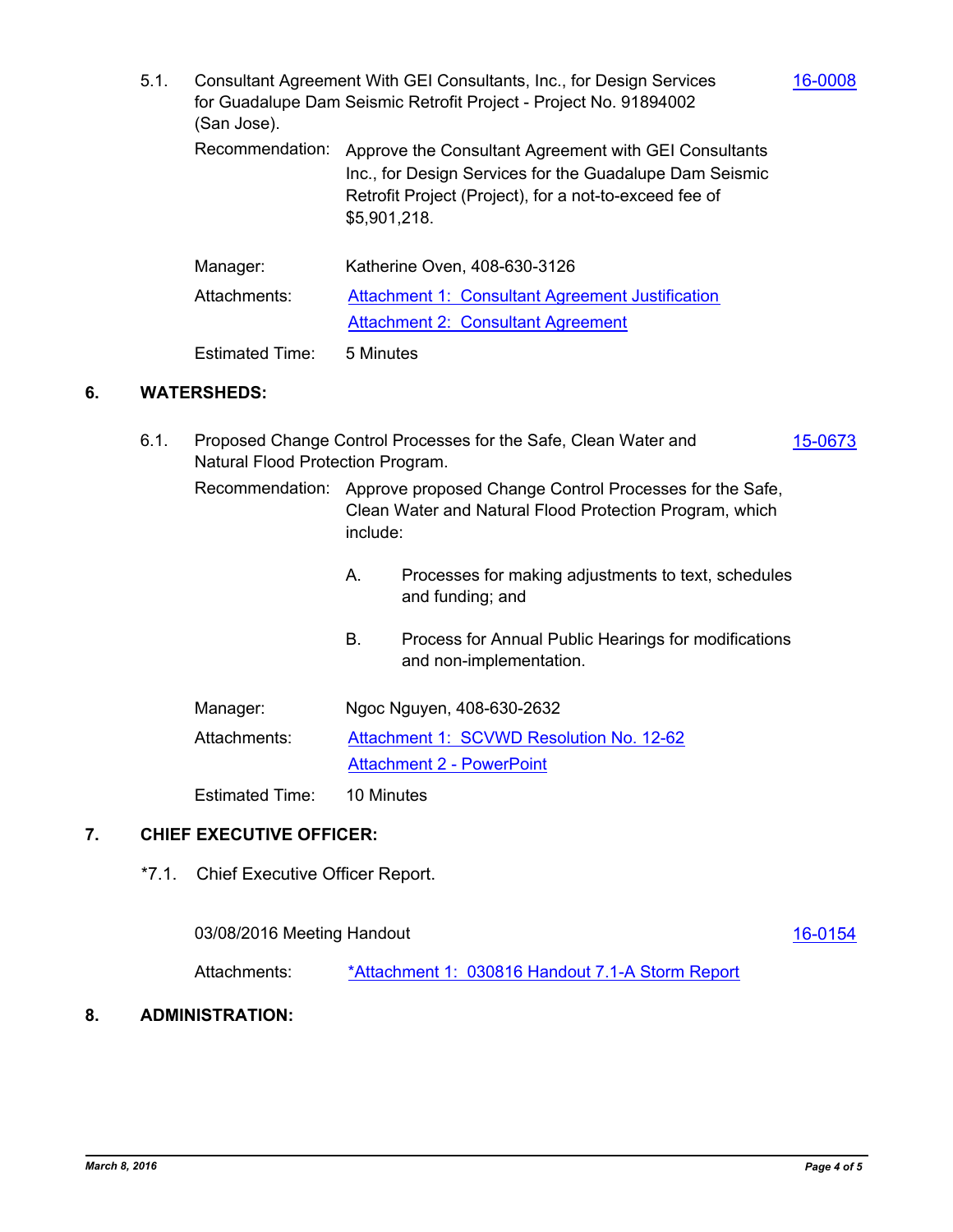- 5.1. Consultant Agreement With GEI Consultants, Inc., for Design Services [16-0008](http://scvwd.legistar.com/gateway.aspx?m=l&id=/matter.aspx?key=1767) for Guadalupe Dam Seismic Retrofit Project - Project No. 91894002 (San Jose).
	- Recommendation: Approve the Consultant Agreement with GEI Consultants Inc., for Design Services for the Guadalupe Dam Seismic Retrofit Project (Project), for a not-to-exceed fee of \$5,901,218.

| Manager:     | Katherine Oven, 408-630-3126                     |
|--------------|--------------------------------------------------|
| Attachments: | Attachment 1: Consultant Agreement Justification |
|              | <b>Attachment 2: Consultant Agreement</b>        |
|              |                                                  |

#### Estimated Time: 5 Minutes

### **6. WATERSHEDS:**

| 6.1. | Proposed Change Control Processes for the Safe, Clean Water and<br>15-0673<br>Natural Flood Protection Program. |                                                                                                                                |                                                                                 |  |  |
|------|-----------------------------------------------------------------------------------------------------------------|--------------------------------------------------------------------------------------------------------------------------------|---------------------------------------------------------------------------------|--|--|
|      | Recommendation:                                                                                                 | Approve proposed Change Control Processes for the Safe,<br>Clean Water and Natural Flood Protection Program, which<br>include: |                                                                                 |  |  |
|      |                                                                                                                 | А.                                                                                                                             | Processes for making adjustments to text, schedules<br>and funding; and         |  |  |
|      |                                                                                                                 | В.                                                                                                                             | Process for Annual Public Hearings for modifications<br>and non-implementation. |  |  |
|      | Manager:                                                                                                        | Ngoc Nguyen, 408-630-2632                                                                                                      |                                                                                 |  |  |
|      | Attachments:                                                                                                    | Attachment 1: SCVWD Resolution No. 12-62                                                                                       |                                                                                 |  |  |
|      |                                                                                                                 | <b>Attachment 2 - PowerPoint</b>                                                                                               |                                                                                 |  |  |
|      | <b>Estimated Time:</b>                                                                                          | 10 Minutes                                                                                                                     |                                                                                 |  |  |

#### **7. CHIEF EXECUTIVE OFFICER:**

\*7.1. Chief Executive Officer Report.

03/08/2016 Meeting Handout [16-0154](http://scvwd.legistar.com/gateway.aspx?m=l&id=/matter.aspx?key=1912)

Attachments: [\\*Attachment 1: 030816 Handout 7.1-A Storm Report](http://scvwd.legistar.com/gateway.aspx?M=F&ID=11ea0f81-cc8a-47f5-99ed-6741b40be61c.pdf)

### **8. ADMINISTRATION:**